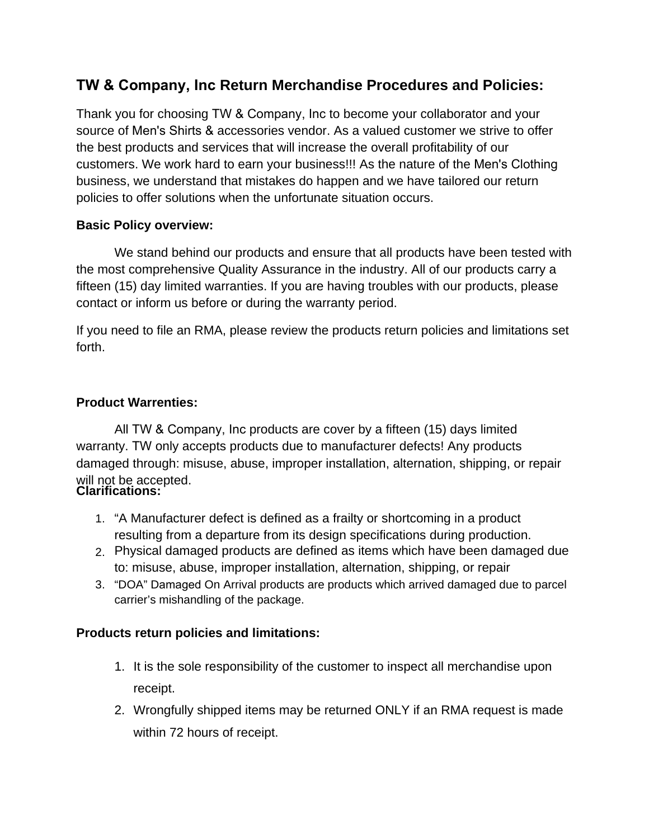## **TW & Company, Inc Return Merchandise Procedures and Policies:**

Thank you for choosing TW & Company, Inc to become your collaborator and your source of Men's Shirts & accessories vendor. As a valued customer we strive to offer the best products and services that will increase the overall profitability of our customers. We work hard to earn your business!!! As the nature of the Men's Clothing business, we understand that mistakes do happen and we have tailored our return policies to offer solutions when the unfortunate situation occurs.

## **Basic Policy overview:**

We stand behind our products and ensure that all products have been tested with the most comprehensive Quality Assurance in the industry. All of our products carry a fifteen (15) day limited warranties. If you are having troubles with our products, please contact or inform us before or during the warranty period.

If you need to file an RMA, please review the products return policies and limitations set forth.

## **Product Warrenties:**

All TW & Company, Inc products are cover by a fifteen (15) days limited warranty. TW only accepts products due to manufacturer defects! Any products damaged through: misuse, abuse, improper installation, alternation, shipping, or repair will not be accepted. **Clarifications:** 

- 1. "A Manufacturer defect is defined as a frailty or shortcoming in a product resulting from a departure from its design specifications during production.
- 2. Physical damaged products are defined as items which have been damaged due to: misuse, abuse, improper installation, alternation, shipping, or repair
- 3. "DOA" Damaged On Arrival products are products which arrived damaged due to parcel carrier's mishandling of the package.

## **Products return policies and limitations:**

- 1. It is the sole responsibility of the customer to inspect all merchandise upon receipt.
- 2. Wrongfully shipped items may be returned ONLY if an RMA request is made within 72 hours of receipt.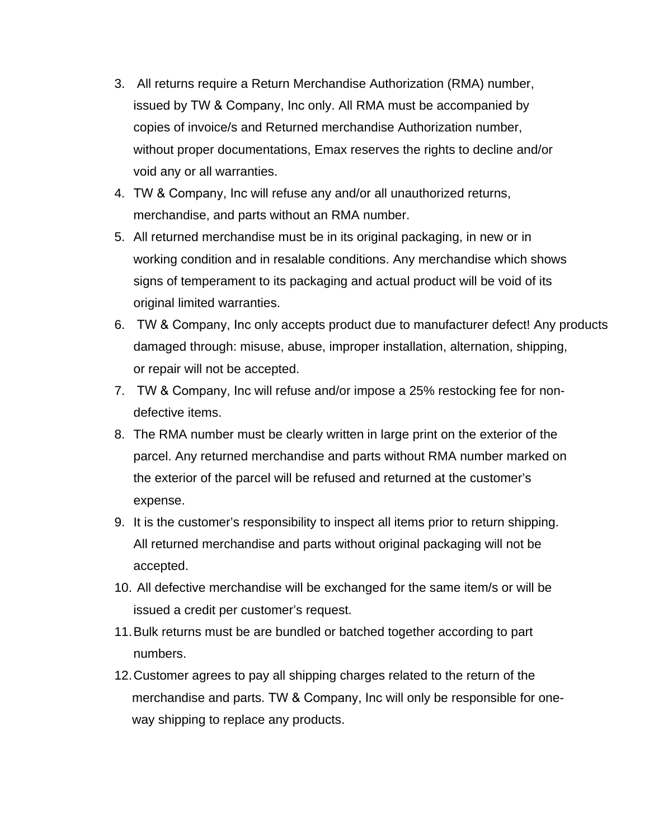- 3. All returns require a Return Merchandise Authorization (RMA) number, issued by TW & Company, Inc only. All RMA must be accompanied by copies of invoice/s and Returned merchandise Authorization number, without proper documentations, Emax reserves the rights to decline and/or void any or all warranties.
- 4. TW & Company, Inc will refuse any and/or all unauthorized returns, merchandise, and parts without an RMA number.
- 5. All returned merchandise must be in its original packaging, in new or in working condition and in resalable conditions. Any merchandise which shows signs of temperament to its packaging and actual product will be void of its original limited warranties.
- 6. TW & Company, Inc only accepts product due to manufacturer defect! Any products damaged through: misuse, abuse, improper installation, alternation, shipping, or repair will not be accepted.
- 7. TW & Company, Inc will refuse and/or impose a 25% restocking fee for nondefective items.
- 8. The RMA number must be clearly written in large print on the exterior of the parcel. Any returned merchandise and parts without RMA number marked on the exterior of the parcel will be refused and returned at the customer's expense.
- 9. It is the customer's responsibility to inspect all items prior to return shipping. All returned merchandise and parts without original packaging will not be accepted.
- 10. All defective merchandise will be exchanged for the same item/s or will be issued a credit per customer's request.
- 11. Bulk returns must be are bundled or batched together according to part numbers.
- 12.Customer agrees to pay all shipping charges related to the return of the merchandise and parts. TW & Company, Inc will only be responsible for oneway shipping to replace any products.